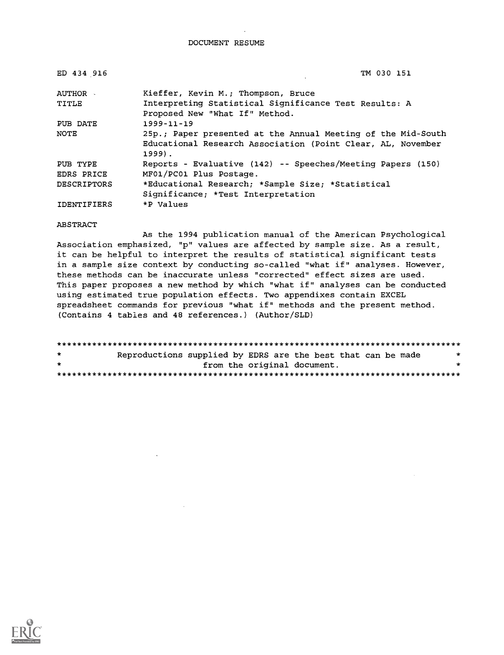DOCUMENT RESUME

| ED 434 916         | TM 030 151                                                   |
|--------------------|--------------------------------------------------------------|
| AUTHOR -           | Kieffer, Kevin M.; Thompson, Bruce                           |
| TITLE              | Interpreting Statistical Significance Test Results: A        |
|                    | Proposed New "What If" Method.                               |
| PUB DATE           | $1999 - 11 - 19$                                             |
| NOTE               | 25p.; Paper presented at the Annual Meeting of the Mid-South |
|                    | Educational Research Association (Point Clear, AL, November  |
|                    | $1999$ .                                                     |
| PUB TYPE           | Reports - Evaluative (142) -- Speeches/Meeting Papers (150)  |
| EDRS PRICE         | MF01/PC01 Plus Postage.                                      |
| <b>DESCRIPTORS</b> | *Educational Research; *Sample Size; *Statistical            |
|                    | Significance; *Test Interpretation                           |
| IDENTIFIERS        | *P Values                                                    |

#### ABSTRACT

As the 1994 publication manual of the American Psychological Association emphasized, "p" values are affected by sample size. As a result, it can be helpful to interpret the results of statistical significant tests in a sample size context by conducting so-called "what if" analyses. However, these methods can be inaccurate unless "corrected" effect sizes are used. This paper proposes a new method by which "what if" analyses can be conducted using estimated true population effects. Two appendixes contain EXCEL spreadsheet commands for previous "what if" methods and the present method. (Contains 4 tables and 48 references.) (Author/SLD)

| $\star$ | Reproductions supplied by EDRS are the best that can be made |                             |  |  | $\star$ |
|---------|--------------------------------------------------------------|-----------------------------|--|--|---------|
| $\star$ |                                                              | from the original document. |  |  | ÷       |
|         |                                                              |                             |  |  |         |

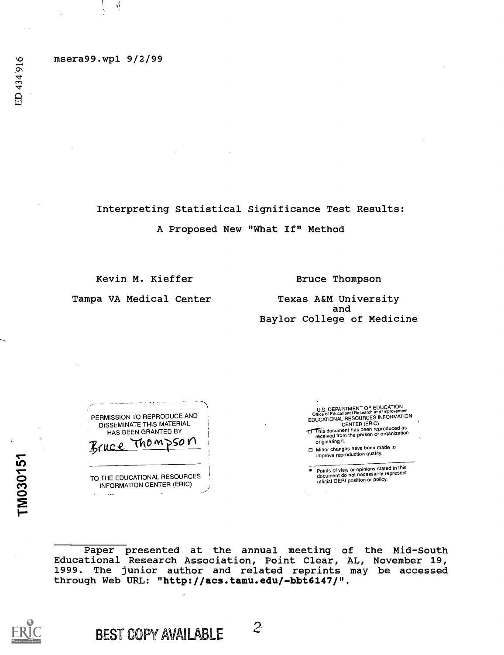msera99.wp1 9/2/99

Ą

Interpreting Statistical Significance Test Results: A Proposed New "What If" Method

Kevin M. Kieffer

Bruce Thompson

Tampa VA Medical Center

Texas A&M University and Baylor College of Medicine

PERMISSION TO REPRODUCE AND DISSEMINATE THIS MATERIAL HAS BEEN GRANTED BY Thom DSO N TO THE EDUCATIONAL RESOURCES INFORMATION CENTER (ERIC)

 $\Delta$ 

والمتحدث والمرابط للمناع

U.S. DEPARTMENT OF EDUCATION<br>Office of Educational Research and Improvement<br>EDUCATIONAL RESOURCES INFORMATION<br>CENTER (ERIC) This document has been reproduced as<br>received from the person or organization originating it.

Minor changes have been made to improve reproduction quality.

Points of view or opinions stated in this document do not necessarily represent official OERI position or policy.

Paper presented at the annual meeting of the Mid-South Educational Research Association, Point Clear, AL, November 19, 1999. The junior author and related reprints may be accessed through Web URL: "http://acs.tamu.edu/-bbt6147/".



TM030151

BEST COPY AVAILABLE  $2^2$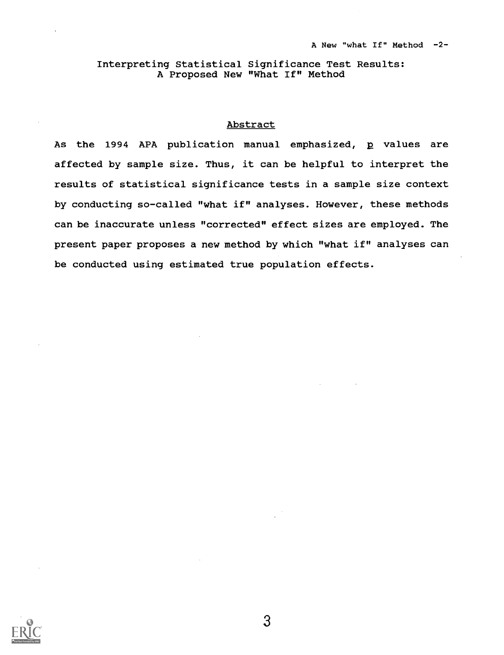# Interpreting Statistical Significance Test Results: A Proposed New "What If" Method

# Abstract

As the 1994 APA publication manual emphasized, p values are affected by sample size. Thus, it can be helpful to interpret the results of statistical significance tests in a sample size context by conducting so-called "what if" analyses. However, these methods can be inaccurate unless "corrected" effect sizes are employed. The present paper proposes a new method by which "what if" analyses can be conducted using estimated true population effects.

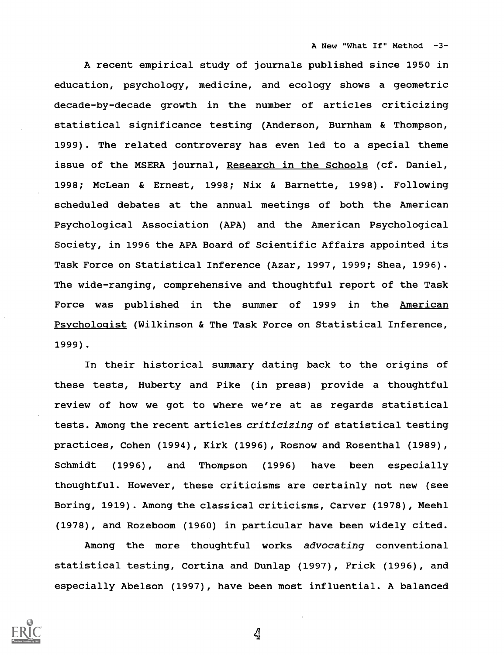A New "What If" Method -3-

A recent empirical study of journals published since 1950 in education, psychology, medicine, and ecology shows a geometric decade-by-decade growth in the number of articles criticizing statistical significance testing (Anderson, Burnham & Thompson, 1999). The related controversy has even led to a special theme issue of the MSERA journal, Research in the Schools (cf. Daniel, 1998; McLean & Ernest, 1998; Nix & Barnette, 1998). Following scheduled debates at the annual meetings of both the American Psychological Association (APA) and the American Psychological Society, in 1996 the APA Board of Scientific Affairs appointed its Task Force on Statistical Inference (Azar, 1997, 1999; Shea, 1996). The wide-ranging, comprehensive and thoughtful report of the Task Force was published in the summer of 1999 in the American Psychologist (Wilkinson & The Task Force on Statistical Inference, 1999) .

In their historical summary dating back to the origins of these tests, Huberty and Pike (in press) provide a thoughtful review of how we got to where we're at as regards statistical tests. Among the recent articles criticizing of statistical testing practices, Cohen (1994), Kirk (1996), Rosnow and Rosenthal (1989), Schmidt (1996), and Thompson (1996) have been especially thoughtful. However, these criticisms are certainly not new (see Boring, 1919). Among the classical criticisms, Carver (1978), Meehl (1978), and Rozeboom (1960) in particular have been widely cited.

Among the more thoughtful works advocating conventional statistical testing, Cortina and Dunlap (1997), Frick (1996), and especially Abelson (1997), have been most influential. A balanced

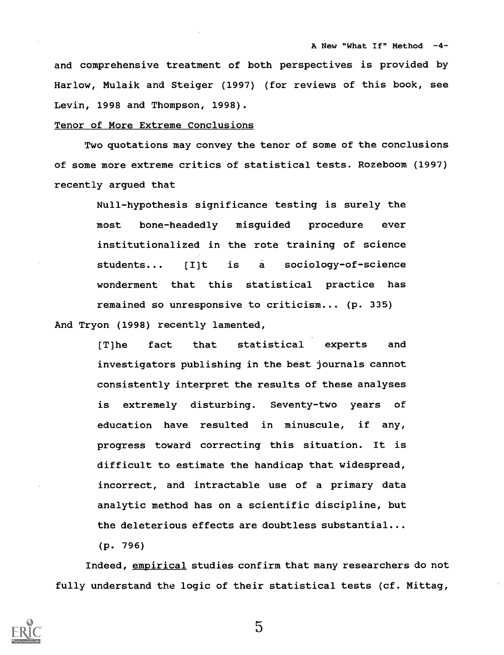and comprehensive treatment of both perspectives is provided by Harlow, Mulaik and Steiger (1997) (for reviews of this book, see Levin, 1998 and Thompson, 1998).

#### Tenor of More Extreme Conclusions

Two quotations may convey the tenor of some of the conclusions of some more extreme critics of statistical tests. Rozeboom (1997) recently argued that

Null-hypothesis significance testing is surely the most bone-headedly misguided procedure ever institutionalized in the rote training of science students... [I]t is a sociology-of-science wonderment that this statistical practice has remained so unresponsive to criticism... (p. 335) And Tryon (1998) recently lamented,

> [T]he fact that statistical experts and investigators publishing in the best journals cannot consistently interpret the results of these analyses is extremely disturbing. Seventy-two years of education have resulted in minuscule, if any, progress toward correcting this situation. It is difficult to estimate the handicap that widespread, incorrect, and intractable use of a primary data analytic method has on a scientific discipline, but the deleterious effects are doubtless substantial...

(p. 796)

Indeed, empirical studies confirm that many researchers do not fully understand the logic of their statistical tests (cf. Mittag,

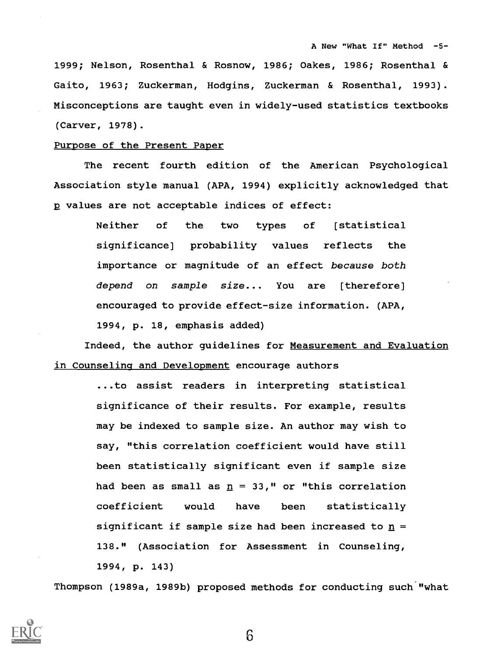1999; Nelson, Rosenthal & Rosnow, 1986; Oakes, 1986; Rosenthal & Gaito, 1963; Zuckerman, Hodgins, Zuckerman & Rosenthal, 1993). Misconceptions are taught even in widely-used statistics textbooks (Carver, 1978).

### Purpose of the Present Paper

The recent fourth edition of the American Psychological Association style manual (APA, 1994) explicitly acknowledged that p values are not acceptable indices of effect:

> Neither of the two types of [statistical significance] probability values reflects the importance or magnitude of an effect because both depend on sample size... You are [therefore] encouraged to provide effect-size information. (APA, 1994, p. 18, emphasis added)

Indeed, the author guidelines for Measurement and Evaluation in Counseling and Development encourage authors

> ...to assist readers in interpreting statistical significance of their results. For example, results may be indexed to sample size. An author may wish to say, "this correlation coefficient would have still been statistically significant even if sample size had been as small as  $\underline{n} = 33$ ," or "this correlation coefficient would have been statistically significant if sample size had been increased to  $n =$ 138." (Association for Assessment in Counseling, 1994, p. 143)

Thompson (1989a, 1989b) proposed methods for conducting such "what

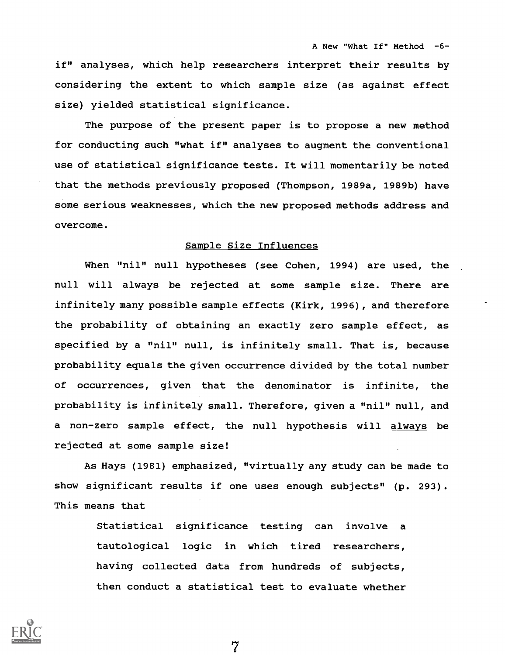if" analyses, which help researchers interpret their results by considering the extent to which sample size (as against effect size) yielded statistical significance.

The purpose of the present paper is to propose a new method for conducting such "what if" analyses to augment the conventional use of statistical significance tests. It will momentarily be noted that the methods previously proposed (Thompson, 1989a, 1989b) have some serious weaknesses, which the new proposed methods address and overcome.

# Sample Size Influences

When "nil" null hypotheses (see Cohen, 1994) are used, the null will always be rejected at some sample size. There are infinitely many possible sample effects (Kirk, 1996), and therefore the probability of obtaining an exactly zero sample effect, as specified by a "nil" null, is infinitely small. That is, because probability equals the given occurrence divided by the total number of occurrences, given that the denominator is infinite, the probability is infinitely small. Therefore, given a "nil" null, and a non-zero sample effect, the null hypothesis will always be rejected at some sample size!

As Hays (1981) emphasized, "virtually any study can be made to show significant results if one uses enough subjects" (p. 293). This means that

> Statistical significance testing can involve a tautological logic in which tired researchers, having collected data from hundreds of subjects, then conduct a statistical test to evaluate whether

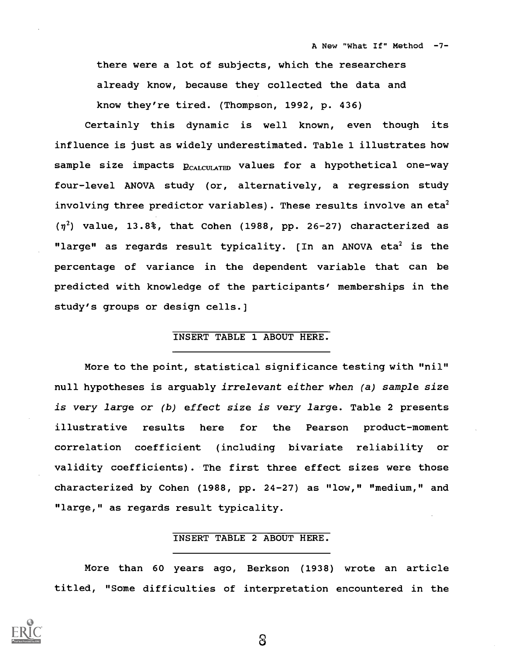there were a lot of subjects, which the researchers already know, because they collected the data and know they're tired. (Thompson, 1992, p. 436)

Certainly this dynamic is well known, even though its influence is just as widely underestimated. Table 1 illustrates how sample size impacts  $p_{CALCULATED}$  values for a hypothetical one-way four-level ANOVA study (or, alternatively, a regression study involving three predictor variables). These results involve an eta<sup>2</sup>  $(\eta^2)$  value, 13.8%, that Cohen (1988, pp. 26-27) characterized as "large" as regards result typicality.  $[In an ANOVA eta<sup>2</sup> is the$ percentage of variance in the dependent variable that can be predicted with knowledge of the participants' memberships in the study's groups or design cells.]

# INSERT TABLE 1 ABOUT HERE.

More to the point, statistical significance testing with "nil" null hypotheses is arguably irrelevant either when (a) sample size is very large or (b) effect size is very large. Table 2 presents illustrative results here for the Pearson product-moment correlation coefficient (including bivariate reliability or validity coefficients). The first three effect sizes were those characterized by Cohen (1988, pp. 24-27) as "low," "medium," and "large," as regards result typicality.

# INSERT TABLE 2 ABOUT HERE.

More than 60 years ago, Berkson (1938) wrote an article titled, "Some difficulties of interpretation encountered in the

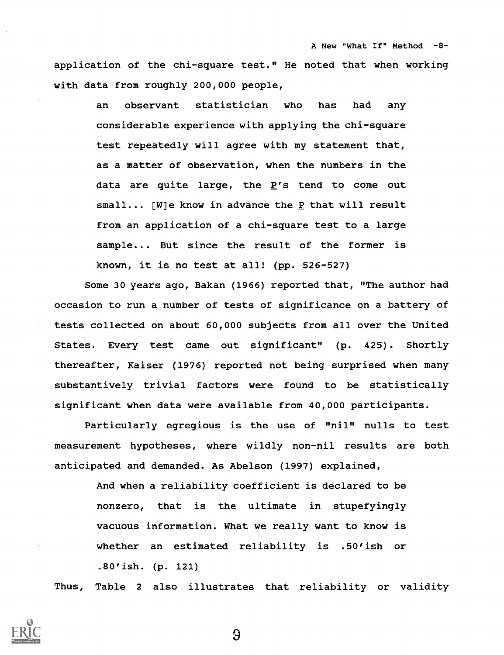A New "What If" Method -8 application of the chi-square test." He noted that when working with data from roughly 200,000 people,

> an observant statistician who has had any considerable experience with applying the chi-square test repeatedly will agree with my statement that, as a matter of observation, when the numbers in the data are quite large, the P's tend to come out small... [W]e know in advance the P that will result from an application of a chi-square test to a large sample... But since the result of the former is known, it is no test at all! (pp. 526-527)

Some 30 years ago, Bakan (1966) reported that, "The author had occasion to run a number of tests of significance on a battery of tests collected on about 60,000 subjects from all over the United States. Every test came out significant" (p. 425). Shortly thereafter, Kaiser (1976) reported not being surprised when many substantively trivial factors were found to be statistically significant when data were available from 40,000 participants.

Particularly egregious is the use of "nil" nulls to test measurement hypotheses, where wildly non-nil results are both anticipated and demanded. As Abelson (1997) explained,

> And when a reliability coefficient is declared to be nonzero, that is the ultimate in stupefyingly vacuous information. What we really want to know is whether an estimated reliability is .50'ish or .80'ish. (p. 121)

Thus, Table <sup>2</sup> also illustrates that reliability or validity

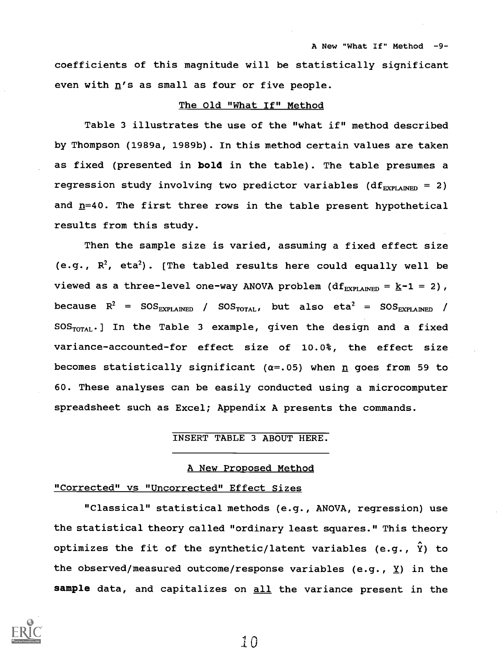coefficients of this magnitude will be statistically significant even with  $n'$ s as small as four or five people.

# The Old "What If" Method

Table 3 illustrates the use of the "what if" method described by Thompson (1989a, 1989b). In this method certain values are taken as fixed (presented in bold in the table). The table presumes a regression study involving two predictor variables (df $_{EXPLAMENT}$  = 2) and n=40. The first three rows in the table present hypothetical results from this study.

Then the sample size is varied, assuming a fixed effect size (e.g.,  $R^2$ , eta<sup>2</sup>). [The tabled results here could equally well be viewed as a three-level one-way ANOVA problem (df<sub>EXPLAINED</sub> =  $\underline{k-1}$  = 2), because  $R^2$  = SOS<sub>EXPLAINED</sub> / SOS<sub>TOTAL</sub>, but also eta<sup>2</sup> = SOS<sub>EXPLAINED</sub> /  $SOS<sub>TOTAL</sub>$ . In the Table 3 example, given the design and a fixed variance-accounted-for effect size of 10.0%, the effect size becomes statistically significant ( $\alpha$ =.05) when n goes from 59 to 60. These analyses can be easily conducted using a microcomputer spreadsheet such as Excel; Appendix A presents the commands.

#### INSERT TABLE 3 ABOUT HERE.

#### A New Proposed Method

#### "Corrected" vs "Uncorrected" Effect Sizes

"Classical" statistical methods (e.g., ANOVA, regression) use the statistical theory called "ordinary least squares." This theory optimizes the fit of the synthetic/latent variables (e.g.,  $\hat{Y}$ ) to the observed/measured outcome/response variables (e.g.,  $\underline{Y}$ ) in the sample data, and capitalizes on all the variance present in the

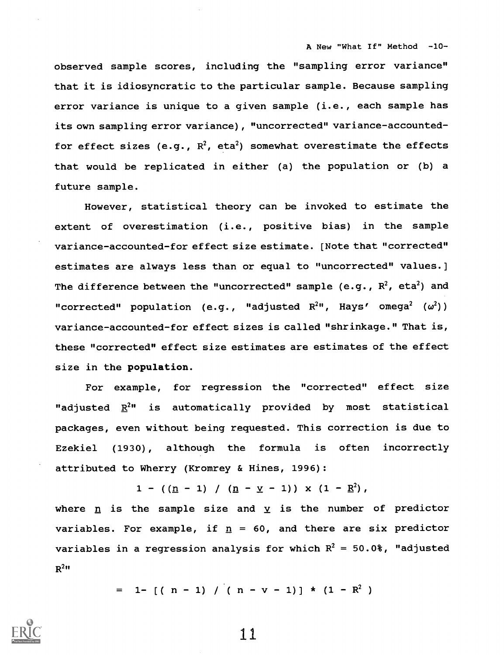A New "What If" Method -10-

observed sample scores, including the "sampling error variance" that it is idiosyncratic to the particular sample. Because sampling error variance is unique to a given sample (i.e., each sample has its own sampling error variance) , "uncorrected" variance-accountedfor effect sizes (e.g.,  $R^2$ , eta<sup>2</sup>) somewhat overestimate the effects that would be replicated in either (a) the population or (b) a future sample.

However, statistical theory can be invoked to estimate the extent of overestimation (i.e., positive bias) in the sample variance-accounted-for effect size estimate. [Note that "corrected" estimates are always less than or equal to "uncorrected" values.] The difference between the "uncorrected" sample (e.g.,  $R^2$ , eta<sup>2</sup>) and "corrected" population (e.g., "adjusted  $R^{2}$ ", Hays' omega<sup>2</sup> ( $\omega^{2}$ )) variance-accounted-for effect sizes is called "shrinkage." That is, these "corrected" effect size estimates are estimates of the effect size in the population.

For example, for regression the "corrected" effect size "adjusted  $R^{2n}$  is automatically provided by most statistical packages, even without being requested. This correction is due to Ezekiel (1930), although the formula is often incorrectly attributed to Wherry (Kromrey & Hines, 1996):

 $1 - ((n - 1) / (n - y - 1)) \times (1 - R^2)$ ,

where  $n$  is the sample size and  $y$  is the number of predictor variables. For example, if  $p = 60$ , and there are six predictor variables in a regression analysis for which  $R^2 = 50.08$ , "adjusted  $R^2$ "

 $= 1 - [(n - 1) / (n - v - 1)] * (1 - R^2)$ 

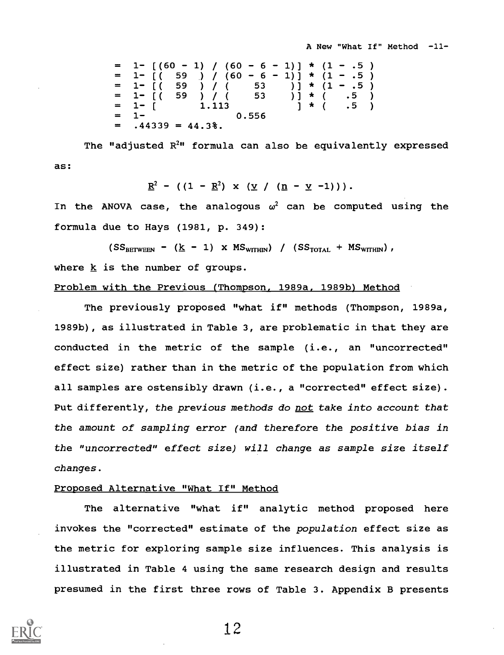```
[(60 - 1) / (60 - 6 - 1)] * (1 - .5)<br>[ (59 ) / (60 - 6 - 1) ] * (1 - .5)59 ) / (60 - 6 -
= 1- [( 59 ) / ( 53 )] * (1 - .5 )<br>= 1- [( 59 ) / ( 53 )] * ( .5 )<br>= 1- [ 1.113 ] * ( .5 )<br>= 1- 0.556
     .44339 = 44.3%
```
The "adjusted  $R^{2n}$  formula can also be equivalently expressed as:

$$
\underline{R}^2 - ((1 - \underline{R}^2) \times (\underline{V} / (n - \underline{V} - 1))) .
$$

In the ANOVA case, the analogous  $\omega^2$  can be computed using the formula due to Hays (1981, p. 349):

 $(SS_{BETWERN} - (k - 1) \times MS_{WITHN}) / (SS_{TOTAL} + MS_{WITHN}),$ 

where  $k$  is the number of groups.

#### Problem with the Previous (Thompson, 1989a, 1989b) Method

The previously proposed "what if" methods (Thompson, 1989a, 1989b), as illustrated in Table 3, are problematic in that they are conducted in the metric of the sample (i.e., an "uncorrected" effect size) rather than in the metric of the population from which all samples are ostensibly drawn (i.e., a "corrected" effect size). Put differently, the previous methods do not take into account that the amount of sampling error (and therefore the positive bias in the "uncorrected" effect size) will change as sample size itself changes.

# Proposed Alternative "What If" Method

The alternative "what if" analytic method proposed here invokes the "corrected" estimate of the population effect size as the metric for exploring sample size influences. This analysis is illustrated in Table 4 using the same research design and results presumed in the first three rows of Table 3. Appendix B presents

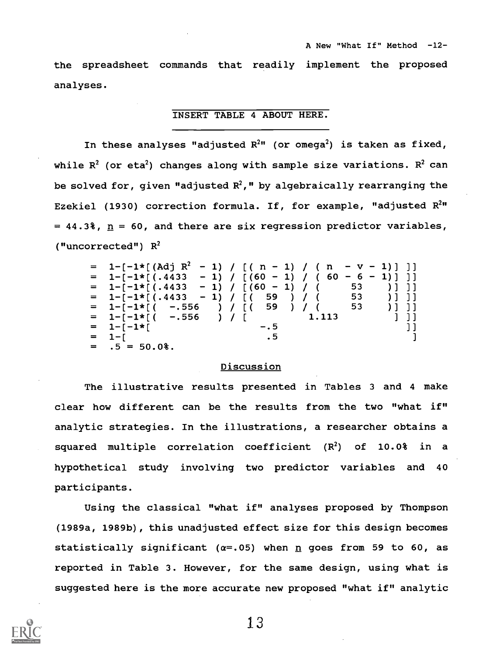the spreadsheet commands that readily implement the proposed analyses.

# INSERT TABLE 4 ABOUT HERE.

In these analyses "adjusted  $R^{2n}$  (or omega<sup>2</sup>) is taken as fixed, while  $R^2$  (or eta<sup>2</sup>) changes along with sample size variations.  $R^2$  can be solved for, given "adjusted  $R^2$ ," by algebraically rearranging the Ezekiel (1930) correction formula. If, for example, "adjusted  $R^{2n}$  $= 44.3\%$ ,  $n = 60$ , and there are six regression predictor variables, ("uncorrected")  $R^2$ 

| = 1- $[-1 \star [(Adj \ R^{2} - 1) / [(n - 1) / (n - v - 1) ] ]$ |         |        |     |
|------------------------------------------------------------------|---------|--------|-----|
| $= 1-[-1*[(.4433 -1) / [(60 -1) / (60 - 6 -1) ] ]$               |         |        |     |
| $= 1 - [-1 \times [(.4433 - 1) / [(60 - 1) / (-53) ] ]$          |         |        |     |
| = 1-[-1*[(.4433 - 1) / [( 59 ) / ( 53 )]]]                       |         |        |     |
| $= 1 - [-1 \times [(--.556)) / [(-59)) / ($                      |         | 53 )]] |     |
| $= 1 - [-1 \star [(--.556)) / [$                                 |         | 1.113  | -11 |
| $= 1 - [-1]$                                                     | $- 0.5$ |        | ננ  |
| $= 1 - 1$                                                        | .5      |        |     |
| $= .5 = 50.0$ %.                                                 |         |        |     |

# **Discussion**

The illustrative results presented in Tables 3 and 4 make clear how different can be the results from the two "what if" analytic strategies. In the illustrations, a researcher obtains a squared multiple correlation coefficient  $(R^2)$  of 10.0% in a hypothetical study involving two predictor variables and 40 participants.

Using the classical "what if" analyses proposed by Thompson (1989a, 1989b), this unadjusted effect size for this design becomes statistically significant ( $\alpha = .05$ ) when n goes from 59 to 60, as reported in Table 3. However, for the same design, using what is suggested here is the more accurate new proposed "what if" analytic

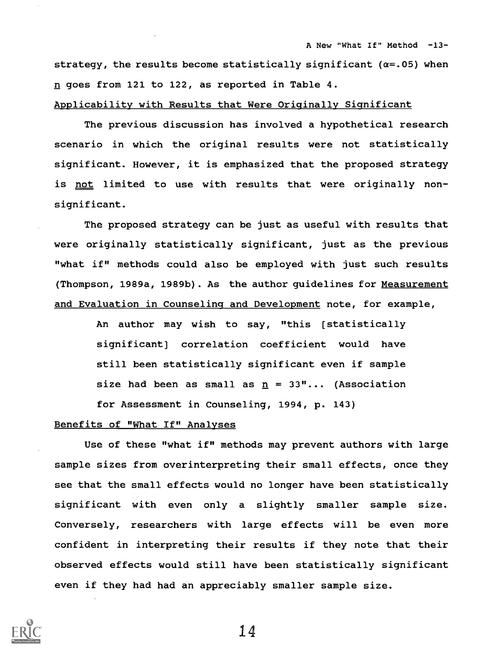strategy, the results become statistically significant ( $\alpha = .05$ ) when n goes from 121 to 122, as reported in Table 4.

# Applicability with Results that Were Originally Significant

The previous discussion has involved a hypothetical research scenario in which the original results were not statistically significant. However, it is emphasized that the proposed strategy is not limited to use with results that were originally nonsignificant.

The proposed strategy can be just as useful with results that were originally statistically significant, just as the previous "what if" methods could also be employed with just such results (Thompson, 1989a, 1989b). As the author guidelines for Measurement and Evaluation in Counseling and Development note, for example,

> An author may wish to say, "this (statistically significant] correlation coefficient would have still been statistically significant even if sample size had been as small as  $\underline{n} = 33$ "... (Association for Assessment in Counseling, 1994, p. 143)

### Benefits of "What If" Analyses

Use of these "what if" methods may prevent authors with large sample sizes from overinterpreting their small effects, once they see that the small effects would no longer have been statistically significant with even only a slightly smaller sample size. Conversely, researchers with large effects will be even more confident in interpreting their results if they note that their observed effects would still have been statistically significant even if they had had an appreciably smaller sample size.

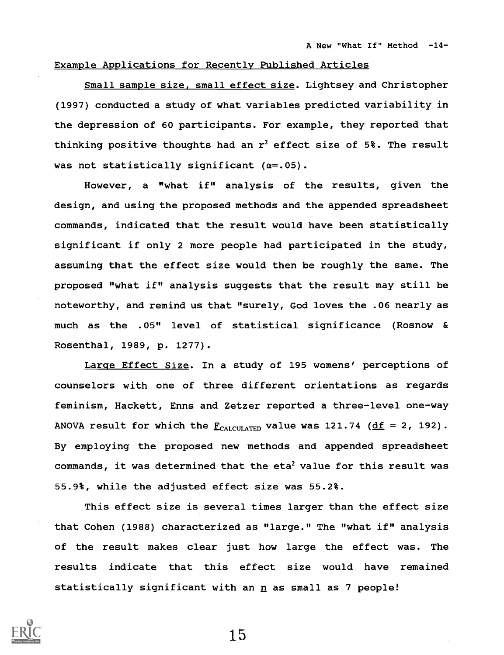# Example Applications for Recently Published Articles

Small sample size, small effect size. Lightsey and Christopher (1997) conducted a study of what variables predicted variability in the depression of 60 participants. For example, they reported that thinking positive thoughts had an  $r^2$  effect size of 5%. The result was not statistically significant  $(\alpha = .05)$ .

However, a "what if" analysis of the results, given the design, and using the proposed methods and the appended spreadsheet commands, indicated that the result would have been statistically significant if only 2 more people had participated in the study, assuming that the effect size would then be roughly the same. The proposed "what if" analysis suggests that the result may still be noteworthy, and remind us that "surely, God loves the .06 nearly as much as the .05" level of statistical significance (Rosnow & Rosenthal, 1989, p. 1277).

Large Effect Size. In a study of 195 womens' perceptions of counselors with one of three different orientations as regards feminism, Hackett, Enns and Zetzer reported a three-level one-way ANOVA result for which the  $F_{CAICUTATED}$  value was 121.74 (df = 2, 192). By employing the proposed new methods and appended spreadsheet commands, it was determined that the  $eta^2$  value for this result was 55.9%, while the adjusted effect size was 55.2%.

This effect size is several times larger than the effect size that Cohen (1988) characterized as "large." The "what if" analysis of the result makes clear just how large the effect was. The results indicate that this effect size would have remained statistically significant with an n as small as 7 people!

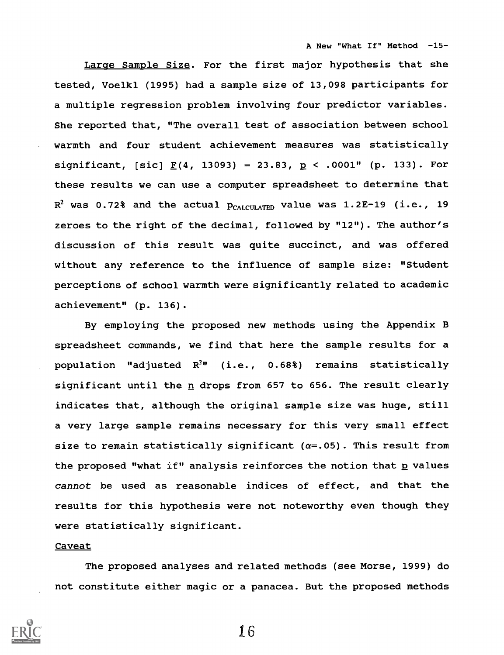A New "What If" Method -15-

Large Sample Size. For the first major hypothesis that she tested, Voelkl (1995) had a sample size of 13,098 participants for a multiple regression problem involving four predictor variables. She reported that, "The overall test of association between school warmth and four student achievement measures was statistically significant, [sic]  $\underline{F}(4, 13093) = 23.83$ ,  $\underline{p} < .0001$ " (p. 133). For these results we can use a computer spreadsheet to determine that  $R^2$  was 0.72% and the actual  $p_{CALCULATED}$  value was 1.2E-19 (i.e., 19 zeroes to the right of the decimal, followed by "12"). The author's discussion of this result was quite succinct, and was offered without any reference to the influence of sample size: "Student perceptions of school warmth were significantly related to academic achievement" (p. 136).

By employing the proposed new methods using the Appendix B spreadsheet commands, we find that here the sample results for a population "adjusted  $R^{2n}$  (i.e., 0.68%) remains statistically significant until the  $n$  drops from 657 to 656. The result clearly indicates that, although the original sample size was huge, still a very large sample remains necessary for this very small effect size to remain statistically significant  $(\alpha = 0.05)$ . This result from the proposed "what if" analysis reinforces the notion that p values cannot be used as reasonable indices of effect, and that the results for this hypothesis were not noteworthy even though they were statistically significant.

### Caveat

The proposed analyses and related methods (see Morse, 1999) do not constitute either magic or a panacea. But the proposed methods

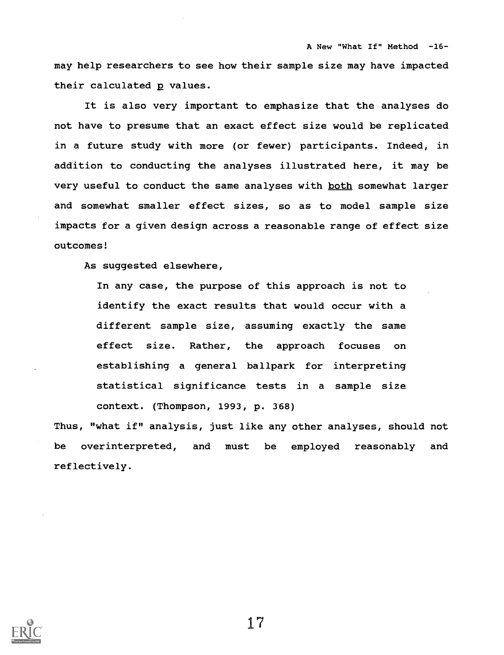may help researchers to see how their sample size may have impacted their calculated p values.

A New "What If" Method -16-

It is also very important to emphasize that the analyses do not have to presume that an exact effect size would be replicated in a future study with more (or fewer) participants. Indeed, in addition to conducting the analyses illustrated here, it may be very useful to conduct the same analyses with both somewhat larger and somewhat smaller effect sizes, so as to model sample size impacts for a given design across a reasonable range of effect size outcomes!

As suggested elsewhere,

In any case, the purpose of this approach is not to identify the exact results that would occur with a different sample size, assuming exactly the same effect size. Rather, the approach focuses on establishing a general ballpark for interpreting statistical significance tests in a sample size context. (Thompson, 1993, p. 368)

Thus, "what if" analysis, just like any other analyses, should not be overinterpreted, and must be employed reasonably and reflectively.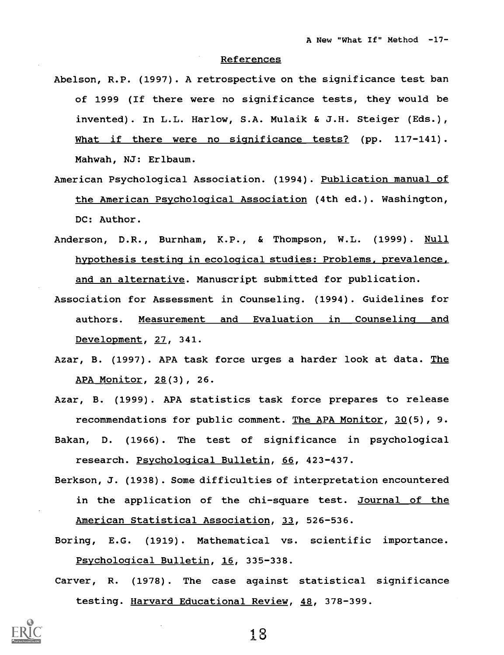#### References

- Abelson, R.P. (1997). A retrospective on the significance test ban of 1999 (If there were no significance tests, they would be invented). In L.L. Harlow, S.A. Mulaik & J.H. Steiger (Eds.), What if there were no significance tests? (pp. 117-141). Mahwah, NJ: Erlbaum.
- American Psychological Association. (1994). Publication manual of the American Psychological Association (4th ed.). Washington, DC: Author.
- Anderson, D.R., Burnham, K.P., & Thompson, W.L. (1999). Null hypothesis testing in ecological studies: Problems, prevalence, and an alternative. Manuscript submitted for publication.
- Association for Assessment in Counseling. (1994). Guidelines for authors. Measurement and Evaluation in Counseling and Development, 27, 341.
- Azar, B. (1997). APA task force urges a harder look at data. The APA Monitor, 28(3), 26.
- Azar, B. (1999). APA statistics task force prepares to release recommendations for public comment. The APA Monitor,  $30(5)$ , 9.
- Bakan, D. (1966). The test of significance in psychological research. Psychological Bulletin, 66, 423-437.
- Berkson, J. (1938). Some difficulties of interpretation encountered in the application of the chi-square test. Journal of the American Statistical Association, 33, 526-536.
- Boring, E.G. (1919). Mathematical vs. scientific importance. Psychological Bulletin, 16, 335-338.
- Carver, R. (1978). The case against statistical significance testing. Harvard Educational Review, 48, 378-399.

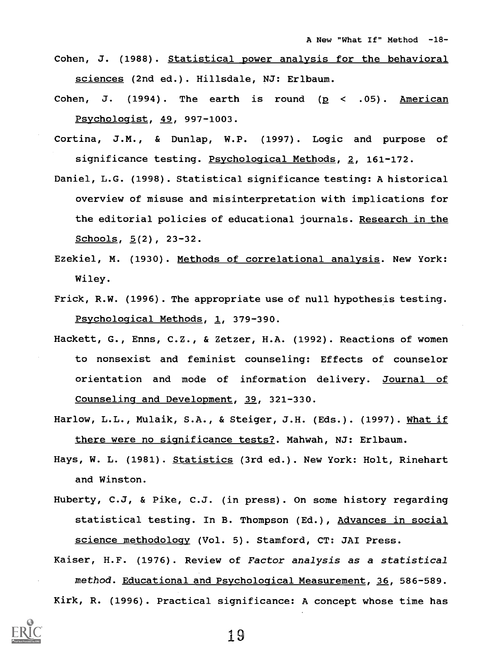- Cohen, J. (1988). Statistical power analysis for the behavioral sciences (2nd ed.). Hillsdale, NJ: Erlbaum.
- Cohen, J. (1994). The earth is round  $(p \lt .05)$ . American Psychologist, 49, 997-1003.
- Cortina, J.M., & Dunlap, W.P. (1997). Logic and purpose of significance testing. Psychological Methods, 2, 161-172.
- Daniel, L.G. (1998). Statistical significance testing: A historical overview of misuse and misinterpretation with implications for the editorial policies of educational journals. Research in the Schools, 5(2), 23-32.
- Ezekiel, M. (1930). Methods of correlational analysis. New York: Wiley.
- Frick, R.W. (1996). The appropriate use of null hypothesis testing. Psychological Methods, 1, 379-390.
- Hackett, G., Enns, C.Z., & Zetzer, H.A. (1992). Reactions of women to nonsexist and feminist counseling: Effects of counselor orientation and mode of information delivery. Journal of Counseling and Development, 39, 321-330.
- Harlow, L.L., Mulaik, S.A., & Steiger, J.H. (Eds.). (1997). What if there were no significance tests?. Mahwah, NJ: Erlbaum.
- Hays, W. L. (1981). Statistics (3rd ed.). New York: Holt, Rinehart and Winston.
- Huberty, C.J, & Pike, C.J. (in press). On some history regarding statistical testing. In B. Thompson (Ed.), Advances in social science methodology (Vol. 5). Stamford, CT: JAI Press.

Kaiser, H.F. (1976). Review of Factor analysis as a statistical method. Educational and Psychological Measurement, 36, 586-589. Kirk, R. (1996). Practical significance: A concept whose time has

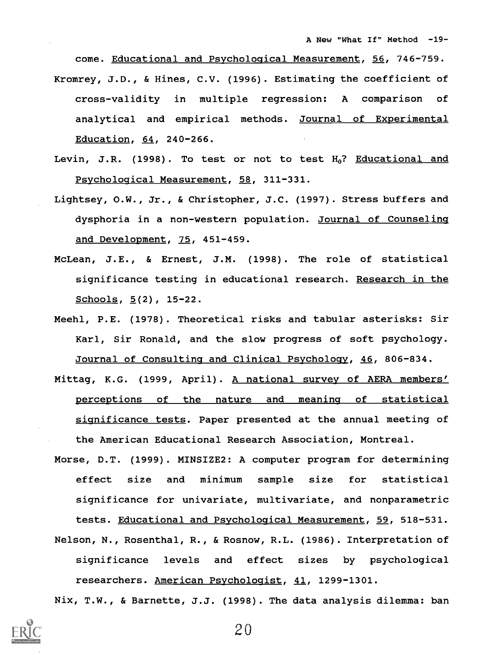come. Educational and Psychological Measurement, 56, 746-759. Kromrey, J.D., & Hines, C.V. (1996). Estimating the coefficient of cross-validity in multiple regression: A comparison of analytical and empirical methods. Journal of Experimental Education, 64, 240-266.

- Levin, J.R. (1998). To test or not to test  $H_0$ ? Educational and Psychological Measurement, 58, 311-331.
- Lightsey, 0.W., Jr., & Christopher, J.C. (1997). Stress buffers and dysphoria in a non-western population. Journal of Counseling and Development, 75, 451-459.
- McLean, J.E., & Ernest, J.M. (1998). The role of statistical significance testing in educational research. Research in the Schools,  $5(2)$ ,  $15-22$ .
- Meehl, P.E. (1978). Theoretical risks and tabular asterisks: Sir Karl, Sir Ronald, and the slow progress of soft psychology. Journal of Consulting and Clinical Psychology, 46, 806-834.
- Mittag, K.G. (1999, April). A national survey of AERA members' perceptions of the nature and meaning of statistical significance tests. Paper presented at the annual meeting of the American Educational Research Association, Montreal.
- Morse, D.T. (1999). MINSIZE2: A computer program for determining effect size and minimum sample size for statistical significance for univariate, multivariate, and nonparametric tests. Educational and Psychological Measurement, 59, 518-531. Nelson, N., Rosenthal, R., & Rosnow, R.L. (1986). Interpretation of significance levels and effect sizes by psychological researchers. American Psychologist, 41, 1299-1301.

Nix, T.W., & Barnette, J.J. (1998). The data analysis dilemma: ban

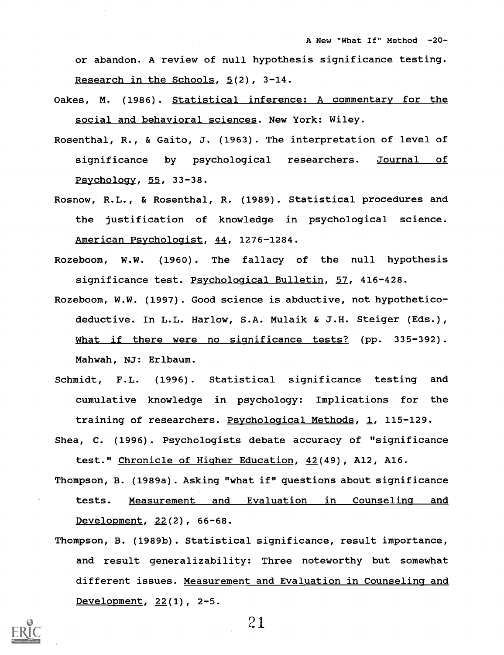or abandon. A review of null hypothesis significance testing. Research in the Schools,  $5(2)$ ,  $3-14$ .

- Oakes, M. (1986). Statistical inference: A commentary for the social and behavioral sciences. New York: Wiley.
- Rosenthal, R., & Gaito, J. (1963). The interpretation of level of significance by psychological researchers. Journal of Psychology, 55, 33-38.
- Rosnow, R.L., & Rosenthal, R. (1989). Statistical procedures and the justification of knowledge in psychological science. American Psychologist, 44, 1276-1284.
- Rozeboom, W.W. (1960). The fallacy of the null hypothesis significance test. Psychological Bulletin, 57, 416-428.
- Rozeboom, W.W. (1997). Good science is abductive, not hypotheticodeductive. In L.L. Harlow, S.A. Mulaik & J.H. Steiger (Eds.), What if there were no significance tests? (pp. 335-392). Mahwah, NJ: Erlbaum.
- Schmidt, F.L. (1996). Statistical significance testing and cumulative knowledge in psychology: Implications for the training of researchers. Psychological Methods, 1, 115-129.
- Shea, C. (1996). Psychologists debate accuracy of "significance test." Chronicle of Higher Education, 42(49), Al2, A16.
- Thompson, B. (1989a). Asking "what if" questions about significance tests. Measurement and Evaluation in Counseling and Development, 22(2), 66-68.
- Thompson, B. (1989b). Statistical significance, result importance, and result generalizability: Three noteworthy but somewhat different issues. Measurement and Evaluation in Counseling and Development, 22(1), 2-5.

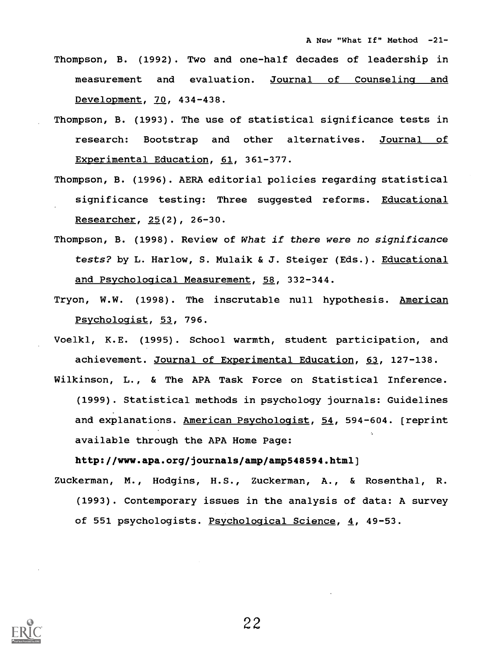- Thompson, B. (1992). Two and one-half decades of leadership in measurement and evaluation. Journal of Counseling and Development, 70, 434-438.
- Thompson, B. (1993). The use of statistical significance tests in research: Bootstrap and other alternatives. Journal of Experimental Education, 61, 361-377.
- Thompson, B. (1996). AERA editorial policies regarding statistical significance testing: Three suggested reforms. Educational Researcher, 25(2), 26-30.
- Thompson, B. (1998). Review of What if there were no significance tests? by L. Harlow, S. Mulaik & J. Steiger (Eds.). Educational and Psychological Measurement, 58, 332-344.
- Tryon, W.W. (1998). The inscrutable null hypothesis. American Psychologist, 53, 796.
- Voelkl, K.E. (1995). School warmth, student participation, and achievement. Journal of Experimental Education, 63, 127-138.
- Wilkinson, L., & The APA Task Force on Statistical Inference. (1999). Statistical methods in psychology journals: Guidelines and explanations. American Psychologist, 54, 594-604. [reprint available through the APA Home Page:

http://www.apa.org/journals/amp/amp548594.html]

Zuckerman, M., Hodgins, H.S., Zuckerman, A., & Rosenthal, R. (1993). Contemporary issues in the analysis of data: A survey of 551 psychologists. Psychological Science, 4, 49-53.

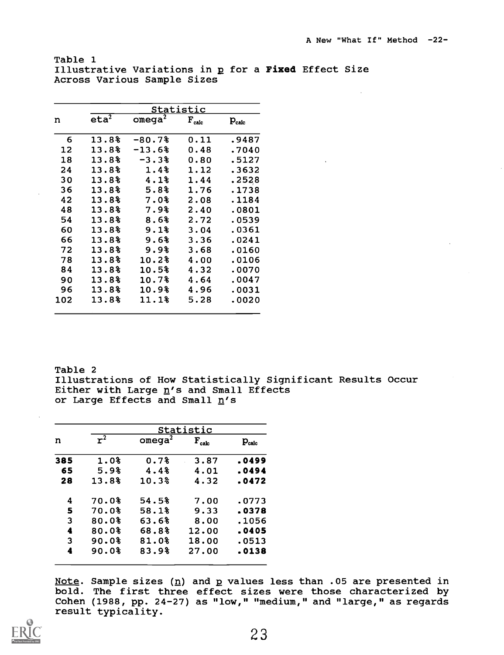Table 1 Illustrative Variations in p for a Fixed Effect Size Across Various Sample Sizes

| $eta^2$<br>$omega^2$<br>$\mathbf{F}_{\text{calc}}$<br>n<br>$P_{calc}$<br>13.8%<br>$-80.7%$<br>0.11<br>.9487<br>6<br>13.8%<br>$-13.6\}$<br>12<br>0.48<br>.7040<br>18<br>13.8%<br>$-3.3%$<br>0.80<br>.5127<br>13.8%<br>1.4%<br>24<br>.3632<br>1.12 |
|--------------------------------------------------------------------------------------------------------------------------------------------------------------------------------------------------------------------------------------------------|
|                                                                                                                                                                                                                                                  |
|                                                                                                                                                                                                                                                  |
|                                                                                                                                                                                                                                                  |
|                                                                                                                                                                                                                                                  |
|                                                                                                                                                                                                                                                  |
| .2528<br>30<br>13.8%<br>4.1%<br>1.44                                                                                                                                                                                                             |
| 13.8%<br>5.8%<br>36<br>1.76<br>.1738                                                                                                                                                                                                             |
| 13.8%<br>42<br>7.0%<br>2.08<br>.1184                                                                                                                                                                                                             |
| 48<br>7.9%<br>13.8%<br>2.40<br>.0801                                                                                                                                                                                                             |
| 54<br>13.8%<br>8.6%<br>2.72<br>.0539                                                                                                                                                                                                             |
| 60<br>13.8%<br>9.1<br>.0361<br>3.04                                                                                                                                                                                                              |
| 66<br>13.8%<br>9.6%<br>3.36<br>.0241                                                                                                                                                                                                             |
| 13.8%<br>9.9<br>72<br>3.68<br>.0160                                                                                                                                                                                                              |
| 13.8%<br>10.2%<br>78<br>4.00<br>.0106                                                                                                                                                                                                            |
| 13.8%<br>10.5%<br>84<br>4.32<br>.0070                                                                                                                                                                                                            |
| 4.64<br>13.8%<br>10.7%<br>.0047<br>90                                                                                                                                                                                                            |
| 96<br>13.8%<br>10.9%<br>4.96<br>.0031                                                                                                                                                                                                            |
| 13.8%<br>11.1%<br>5.28<br>102<br>.0020                                                                                                                                                                                                           |

Table 2 Illustrations of How Statistically Significant Results Occur Either with Large  $n$ 's and Small Effects or Large Effects and Small n's

|     |       |                    | Statistic  |            |
|-----|-------|--------------------|------------|------------|
| n   | $r^2$ | omega <sup>2</sup> | $F_{calc}$ | $P_{calc}$ |
| 385 | 1.0%  | 0.7%               | 3.87       | .0499      |
| 65  | 5.9%  | 4.4%               | 4.01       | .0494      |
| 28  | 13.8% | 10.3%              | 4.32       | .0472      |
| 4   | 70.0% | 54.5%              | 7.00       | .0773      |
| 5   | 70.0% | 58.1%              | 9.33       | .0378      |
| 3   | 80.0% | 63.6%              | 8.00       | .1056      |
| 4   | 80.0% | 68.8%              | 12.00      | .0405      |
| 3   | 90.0% | 81.0%              | 18.00      | .0513      |
| 4   | 90.0% | 83.9%              | 27.00      | .0138      |
|     |       |                    |            |            |

Note. Sample sizes  $(n)$  and p values less than .05 are presented in bold. The first three effect sizes were those characterized by Cohen (1988, pp. 24-27) as "low," "medium," and "large," as regards result typicality.

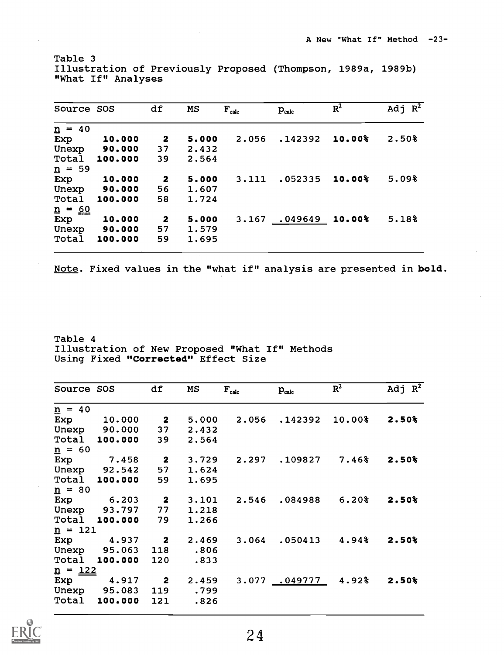Table 3 Illustration of Previously Proposed (Thompson, 1989a, 1989b) "What If" Analyses

| Source SOS           |         | df           | MS    | $F_{calc}$ | $P_{calc}$       | $R^2$  | Adj $\overline{R^2}$ |
|----------------------|---------|--------------|-------|------------|------------------|--------|----------------------|
| $n = 40$             |         |              |       |            |                  |        |                      |
| Exp                  | 10.000  | -2           | 5,000 | 2.056      | .142392          | 10.00% | 2.50%                |
| Unexp                | 90.000  | 37           | 2.432 |            |                  |        |                      |
| Total                | 100.000 | 39           | 2.564 |            |                  |        |                      |
| $\underline{n}$ = 59 |         |              |       |            |                  |        |                      |
| Exp                  | 10.000  | $\mathbf{2}$ | 5,000 | 3.111      | .052335          | 10.00% | 5.09%                |
| Unexp                | 90.000  | 56           | 1.607 |            |                  |        |                      |
| Total                | 100.000 | 58           | 1.724 |            |                  |        |                      |
| $n = 60$             |         |              |       |            |                  |        |                      |
| Exp                  | 10.000  | 2            | 5,000 | 3.167      | $.049649$ 10.00% |        | 5.18%                |
| Unexp                | 90.000  | 57           | 1.579 |            |                  |        |                      |
| Total                | 100.000 | 59           | 1.695 |            |                  |        |                      |

Note. Fixed values in the "what if" analysis are presented in bold.

Table 4 Illustration of New Proposed "What If" Methods Using Fixed "Corrected" Effect Size

| Source SOS           |                      | df                      | MS    | $F_{calc}$ | $P_{calc}$                | $R^2$             | Adj $\overline{R^2}$ |
|----------------------|----------------------|-------------------------|-------|------------|---------------------------|-------------------|----------------------|
| $\underline{n} = 40$ |                      |                         |       |            |                           |                   |                      |
| Exp                  | 10.000               | $\overline{\mathbf{2}}$ | 5.000 |            | 2.056.142392              | $10.00\$          | 2.50%                |
|                      | Unexp 90.000         | 37                      | 2.432 |            |                           |                   |                      |
| Total                | 100.000              | 39                      | 2.564 |            |                           |                   |                      |
| $\underline{n} = 60$ |                      |                         |       |            |                           |                   |                      |
| Exp                  | 7.458                | $\overline{\mathbf{2}}$ | 3.729 |            | 2.297.109827              | $7.46\$           | 2.50%                |
|                      | Unexp 92.542         | 57                      | 1.624 |            |                           |                   |                      |
|                      | <b>Total 100.000</b> | 59                      | 1.695 |            |                           |                   |                      |
| $\underline{n} = 80$ |                      |                         |       |            |                           |                   |                      |
| Exp                  | 6.203                | $\overline{\mathbf{2}}$ | 3.101 |            | 2.546.084988              | $6.20\%$          | 2.50%                |
|                      | Unexp 93.797 77      |                         | 1.218 |            |                           |                   |                      |
|                      | <b>Total 100.000</b> | 79                      | 1.266 |            |                           |                   |                      |
| $n = 121$            |                      |                         |       |            |                           |                   |                      |
|                      | Exp 4.937 2          |                         | 2.469 | 3.064      |                           | $.050413$ $4.94%$ | 2.50%                |
|                      | Unexp 95.063         | 118                     | .806  |            |                           |                   |                      |
| Total                | 100.000              | 120                     | .833  |            |                           |                   |                      |
| $n = 122$            |                      |                         |       |            |                           |                   |                      |
|                      | Exp 4.917 2          |                         | 2.459 |            | 3.077 <u>049777</u> 4.92% |                   | 2.50%                |
|                      | Unexp 95.083         | 119                     | .799  |            |                           |                   |                      |
| Total                | 100.000              | 121                     | .826  |            |                           |                   |                      |

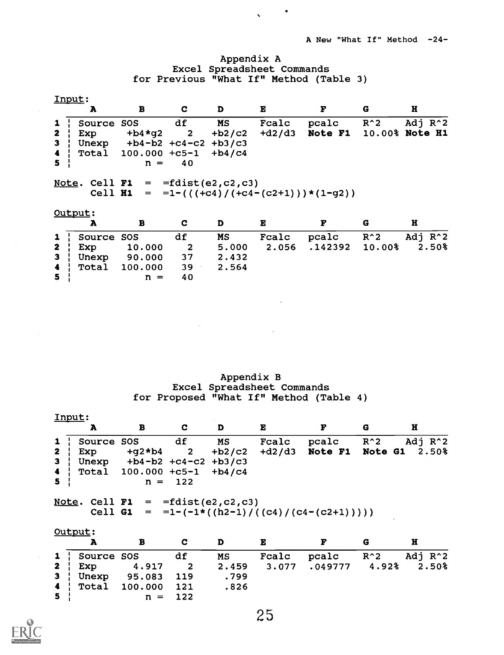# Appendix A Excel Spreadsheet Commands for Previous "What If" Method (Table 3)

 $\bullet$ 

 $\sqrt{2}$  and  $\sqrt{2}$ 

|                              | Input:       |                                            |                         |          |          |                                                  |        |                     |
|------------------------------|--------------|--------------------------------------------|-------------------------|----------|----------|--------------------------------------------------|--------|---------------------|
|                              | A            | B                                          | C                       | D        | Е        | F                                                | G      | H                   |
| $\mathbf{1}$                 | Source       | SOS                                        | df                      | MS       | Fcalc    | pcalc                                            | $R^2$  | Adj R <sup>^2</sup> |
| $\mathbf{z}$                 | Exp          | $+b4*q2$                                   | $\overline{\mathbf{2}}$ | $+b2/c2$ | $+d2/d3$ | <b>Note F1</b>                                   |        | 10.00% Note H1      |
| $\mathbf{3}$                 |              | Unexp $+b4-b2 +c4-c2$                      |                         | $+b3/c3$ |          |                                                  |        |                     |
| $\blacktriangleleft$         |              | Total 100.000 +c5-1                        |                         | $+b4/c4$ |          |                                                  |        |                     |
| 5                            |              | $n =$                                      | 40                      |          |          |                                                  |        |                     |
|                              |              | Note. Cell $F1 = \text{fdist}(e2, c2, c3)$ |                         |          |          |                                                  |        |                     |
|                              | Output:      |                                            |                         |          |          | Cell $H1 = -1-(( (+c4) / (+c4- (c2+1)))*(1-q2))$ |        |                     |
|                              | A            | B                                          | C                       | D        | E        | F                                                | G      | H                   |
|                              | Source       | SOS                                        | df                      | MS       | Fcalc    | pcalc                                            | $R^2$  | Adj R <sup>^2</sup> |
| $\mathbf{1}$<br>$\mathbf{z}$ | Exp          | 10.000                                     | 2                       | 5.000    | 2.056    | .142392                                          | 10.00% | $2.50\%$            |
| 3                            | Unexp        | 90.000                                     | 37                      | 2.432    |          |                                                  |        |                     |
| $\blacktriangleleft$<br>5    | <b>Total</b> | 100.000                                    | 39<br>40                | 2.564    |          |                                                  |        |                     |

Appendix B Excel Spreadsheet Commands for Proposed "What If" Method (Table 4)

|                | Input:     |                                            |           |    |              |                                               |   |                                                  |
|----------------|------------|--------------------------------------------|-----------|----|--------------|-----------------------------------------------|---|--------------------------------------------------|
|                | Α          | B                                          | C.        | D  | $\mathbf{E}$ |                                               | G | H                                                |
| 1 <sup>1</sup> | Source SOS |                                            | df        | MS | Fcalc        | pcalc R <sup>^2</sup>                         |   | Adj $R^2$                                        |
| $2 \mid$       | Exp        |                                            |           |    |              |                                               |   | +g2*b4  2 +b2/c2 +d2/d3  Note F1  Note G1  2.50% |
| 3 <sup>1</sup> |            | Unexp $+b4-b2 +c4-c2 +b3/c3$               |           |    |              |                                               |   |                                                  |
|                |            | 4   Total $100.000 + c5 - 1 + b4/c4$       |           |    |              |                                               |   |                                                  |
| 5 <sup>1</sup> |            |                                            | $n = 122$ |    |              |                                               |   |                                                  |
|                |            |                                            |           |    |              |                                               |   |                                                  |
|                |            | Note. Cell $F1 = \text{fdist}(e2, c2, c3)$ |           |    |              |                                               |   |                                                  |
|                |            |                                            |           |    |              | Cell G1 = $= 1-(-1*(-1)((c4)/((c4-(c2+1)))))$ |   |                                                  |

|                | Output: |                                  |   |      |       |                                         |  |       |  |  |
|----------------|---------|----------------------------------|---|------|-------|-----------------------------------------|--|-------|--|--|
|                |         | в                                | C | D    | E     |                                         |  |       |  |  |
|                |         | 1 Source SOS df                  |   | MS   | Fcalc | pcalc R <sup>2</sup> Adj R <sup>2</sup> |  |       |  |  |
|                |         | <b>2</b> Exp 4.917 2 2.459 3.077 |   |      |       | $.049777$ 4.92%                         |  | 2.50% |  |  |
|                |         | 3   Unexp 95.083 119             |   | .799 |       |                                         |  |       |  |  |
|                |         | 4   Total 100.000 121            |   | .826 |       |                                         |  |       |  |  |
| 5 <sup>1</sup> |         | $n = 122$                        |   |      |       |                                         |  |       |  |  |